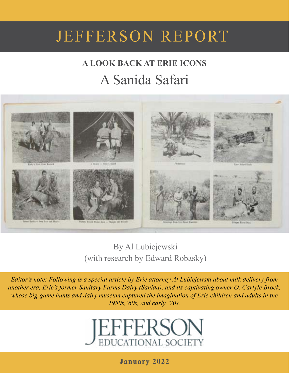## JEFFERSON REPORT

## **A LOOK BACK AT ERIE ICONS**  A Sanida Safari



 By Al Lubiejewski (with research by Edward Robasky)

*Editor's note: Following is a special article by Erie attorney Al Lubiejewski about milk delivery from another era, Erie's former Sanitary Farms Dairy (Sanida), and its captivating owner O. Carlyle Brock, whose big-game hunts and dairy museum captured the imagination of Erie children and adults in the 1950s,'60s, and early '70s.*



**January 2022**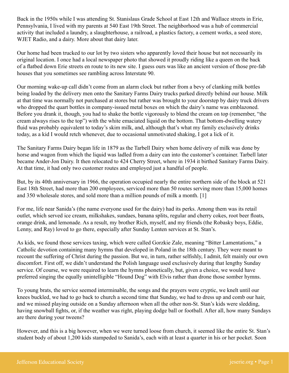Back in the 1950s while I was attending St. Stanislaus Grade School at East 12th and Wallace streets in Erie, Pennsylvania, I lived with my parents at 540 East 19th Street. The neighborhood was a hub of commercial activity that included a laundry, a slaughterhouse, a railroad, a plastics factory, a cement works, a seed store, WJET Radio, and a dairy. More about that dairy later.

Our home had been trucked to our lot by two sisters who apparently loved their house but not necessarily its original location. I once had a local newspaper photo that showed it proudly riding like a queen on the back of a flatbed down Erie streets en route to its new site. I guess ours was like an ancient version of those pre-fab houses that you sometimes see rambling across Interstate 90.

Our morning wake-up call didn't come from an alarm clock but rather from a bevy of clanking milk bottles being loaded by the delivery men onto the Sanitary Farms Dairy trucks parked directly behind our house. Milk at that time was normally not purchased at stores but rather was brought to your doorstep by dairy truck drivers who dropped the quart bottles in company-issued metal boxes on which the dairy's name was emblazoned. Before you drank it, though, you had to shake the bottle vigorously to blend the cream on top (remember, "the cream always rises to the top") with the white emaciated liquid on the bottom. That bottom-dwelling watery fluid was probably equivalent to today's skim milk, and, although that's what my family exclusively drinks today, as a kid I would retch whenever, due to occasional unmotivated shaking, I got a lick of it.

The Sanitary Farms Dairy began life in 1879 as the Tarbell Dairy when home delivery of milk was done by horse and wagon from which the liquid was ladled from a dairy can into the customer's container. Tarbell later became Ander-Jon Dairy. It then relocated to 424 Cherry Street, where in 1934 it birthed Sanitary Farms Dairy. At that time, it had only two customer routes and employed just a handful of people.

But, by its 40th anniversary in 1966, the operation occupied nearly the entire northern side of the block at 521 East 18th Street, had more than 200 employees, serviced more than 50 routes serving more than 15,000 homes and 350 wholesale stores, and sold more than a million pounds of milk a month. [1]

For me, life near Sanida's (the name everyone used for the dairy) had its perks. Among them was its retail outlet, which served ice cream, milkshakes, sundaes, banana splits, regular and cherry cokes, root beer floats, orange drink, and lemonade. As a result, my brother Rich, myself, and my friends (the Robasky boys, Eddie, Lenny, and Ray) loved to go there, especially after Sunday Lenten services at St. Stan's.

As kids, we found those services taxing, which were called Gorzkie Zale, meaning "Bitter Lamentations," a Catholic devotion containing many hymns that developed in Poland in the 18th century. They were meant to recount the suffering of Christ during the passion. But we, in turn, rather selfishly, I admit, felt mainly our own discomfort. First off, we didn't understand the Polish language used exclusively during that lengthy Sunday service. Of course, we were required to learn the hymns phonetically, but, given a choice, we would have preferred singing the equally unintelligible "Hound Dog" with Elvis rather than drone those somber hymns.

To young brats, the service seemed interminable, the songs and the prayers were cryptic, we knelt until our knees buckled, we had to go back to church a second time that Sunday, we had to dress up and comb our hair, and we missed playing outside on a Sunday afternoon when all the other non-St. Stan's kids were sledding, having snowball fights, or, if the weather was right, playing dodge ball or football. After all, how many Sundays are there during your tweens?

However, and this is a big however, when we were turned loose from church, it seemed like the entire St. Stan's student body of about 1,200 kids stampeded to Sanida's, each with at least a quarter in his or her pocket. Soon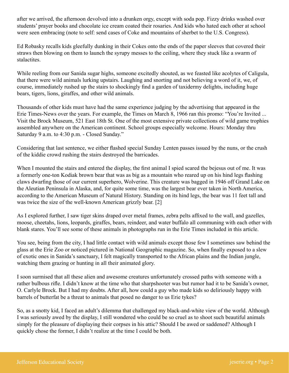after we arrived, the afternoon devolved into a drunken orgy, except with soda pop. Fizzy drinks washed over students' prayer books and chocolate ice cream coated their rosaries. And kids who hated each other at school were seen embracing (note to self: send cases of Coke and mountains of sherbet to the U.S. Congress).

Ed Robasky recalls kids gleefully dunking in their Cokes onto the ends of the paper sleeves that covered their straws then blowing on them to launch the syrupy messes to the ceiling, where they stuck like a swarm of stalactites.

While reeling from our Sanida sugar highs, someone excitedly shouted, as we feasted like acolytes of Caligula, that there were wild animals lurking upstairs. Laughing and snorting and not believing a word of it, we, of course, immediately rushed up the stairs to shockingly find a garden of taxidermy delights, including huge bears, tigers, lions, giraffes, and other wild animals.

Thousands of other kids must have had the same experience judging by the advertising that appeared in the Erie Times-News over the years. For example, the Times on March 8, 1966 ran this promo: "You're Invited ... Visit the Brock Museum, 521 East 18th St. One of the most extensive private collections of wild game trophies assembled anywhere on the American continent. School groups especially welcome. Hours: Monday thru Saturday 9 a.m. to 4:30 p.m. - Closed Sunday."

Considering that last sentence, we either flashed special Sunday Lenten passes issued by the nuns, or the crush of the kiddie crowd rushing the stairs destroyed the barricades.

When I mounted the stairs and entered the display, the first animal I spied scared the bejesus out of me. It was a formerly one-ton Kodiak brown bear that was as big as a mountain who reared up on his hind legs flashing claws dwarfing those of our current superhero, Wolverine. This creature was bagged in 1946 off Grand Lake on the Aleutian Peninsula in Alaska, and, for quite some time, was the largest bear ever taken in North America, according to the American Museum of Natural History. Standing on its hind legs, the bear was 11 feet tall and was twice the size of the well-known American grizzly bear. [2]

As I explored further, I saw tiger skins draped over metal frames, zebra pelts affixed to the wall, and gazelles, moose, cheetahs, lions, leopards, giraffes, bears, reindeer, and water buffalo all communing with each other with blank stares. You'll see some of these animals in photographs run in the Erie Times included in this article.

You see, being from the city, I had little contact with wild animals except those few I sometimes saw behind the glass at the Erie Zoo or noticed pictured in National Geographic magazine. So, when finally exposed to a slew of exotic ones in Sanida's sanctuary, I felt magically transported to the African plains and the Indian jungle, watching them grazing or hunting in all their animated glory.

I soon surmised that all these alien and awesome creatures unfortunately crossed paths with someone with a rather bulbous rifle. I didn't know at the time who that sharpshooter was but rumor had it to be Sanida's owner, O. Carlyle Brock. But I had my doubts. After all, how could a guy who made kids so deliriously happy with barrels of butterfat be a threat to animals that posed no danger to us Erie tykes?

So, as a snotty kid, I faced an adult's dilemma that challenged my black-and-white view of the world. Although I was seriously awed by the display, I still wondered who could be so cruel as to shoot such beautiful animals simply for the pleasure of displaying their corpses in his attic? Should I be awed or saddened? Although I quickly chose the former, I didn't realize at the time I could be both.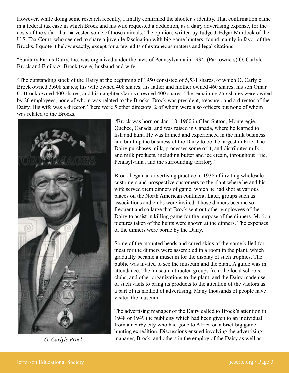However, while doing some research recently, I finally confirmed the shooter's identity. That confirmation came in a federal tax case in which Brock and his wife requested a deduction, as a dairy advertising expense, for the costs of the safari that harvested some of those animals. The opinion, written by Judge J. Edgar Murdock of the U.S. Tax Court, who seemed to share a juvenile fascination with big game hunters, found mainly in favor of the Brocks. I quote it below exactly, except for a few edits of extraneous matters and legal citations.

"Sanitary Farms Dairy, Inc. was organized under the laws of Pennsylvania in 1934. (Part owners) O. Carlyle Brock and Emily A. Brock (were) husband and wife.

"The outstanding stock of the Dairy at the beginning of 1950 consisted of 5,531 shares, of which O. Carlyle Brock owned 3,608 shares; his wife owned 408 shares; his father and mother owned 460 shares; his son Omar C. Brock owned 400 shares; and his daughter Carolyn owned 400 shares. The remaining 255 shares were owned by 26 employees, none of whom was related to the Brocks. Brock was president, treasurer, and a director of the Dairy. His wife was a director. There were 5 other directors, 2 of whom were also officers but none of whom was related to the Brocks.



"Brock was born on Jan. 10, 1900 in Glen Sutton, Monteregie, Quebec, Canada, and was raised in Canada, where he learned to fish and hunt. He was trained and experienced in the milk business and built up the business of the Dairy to be the largest in Erie. The Dairy purchases milk, processes some of it, and distributes milk and milk products, including butter and ice cream, throughout Erie, Pennsylvania, and the surrounding territory."

Brock began an advertising practice in 1938 of inviting wholesale customers and prospective customers to the plant where he and his wife served them dinners of game, which he had shot at various places on the North American continent. Later, groups such as associations and clubs were invited. Those dinners became so frequent and so large that Brock sent out other employees of the Dairy to assist in killing game for the purpose of the dinners. Motion pictures taken of the hunts were shown at the dinners. The expenses of the dinners were borne by the Dairy.

Some of the mounted heads and cured skins of the game killed for meat for the dinners were assembled in a room in the plant, which gradually became a museum for the display of such trophies. The public was invited to see the museum and the plant. A guide was in attendance. The museum attracted groups from the local schools, clubs, and other organizations to the plant, and the Dairy made use of such visits to bring its products to the attention of the visitors as a part of its method of advertising. Many thousands of people have visited the museum.

The advertising manager of the Dairy called to Brock's attention in 1948 or 1949 the publicity which had been given to an individual from a nearby city who had gone to Africa on a brief big game hunting expedition. Discussions ensued involving the advertising *O. Carlyle Brock* manager, Brock, and others in the employ of the Dairy as well as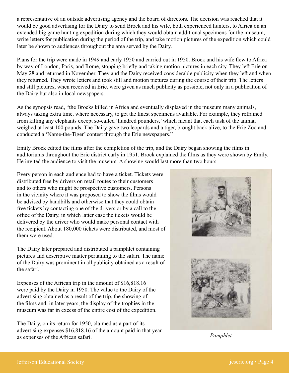a representative of an outside advertising agency and the board of directors. The decision was reached that it would be good advertising for the Dairy to send Brock and his wife, both experienced hunters, to Africa on an extended big game hunting expedition during which they would obtain additional specimens for the museum, write letters for publication during the period of the trip, and take motion pictures of the expedition which could later be shown to audiences throughout the area served by the Dairy.

Plans for the trip were made in 1949 and early 1950 and carried out in 1950. Brock and his wife flew to Africa by way of London, Paris, and Rome, stopping briefly and taking motion pictures in each city. They left Erie on May 28 and returned in November. They and the Dairy received considerable publicity when they left and when they returned. They wrote letters and took still and motion pictures during the course of their trip. The letters and still pictures, when received in Erie, were given as much publicity as possible, not only in a publication of the Dairy but also in local newspapers.

As the synopsis read, "the Brocks killed in Africa and eventually displayed in the museum many animals, always taking extra time, where necessary, to get the finest specimens available. For example, they refrained from killing any elephants except so-called 'hundred pounders,' which meant that each tusk of the animal weighed at least 100 pounds. The Dairy gave two leopards and a tiger, brought back alive, to the Erie Zoo and conducted a 'Name-the-Tiger' contest through the Erie newspapers."

Emily Brock edited the films after the completion of the trip, and the Dairy began showing the films in auditoriums throughout the Erie district early in 1951. Brock explained the films as they were shown by Emily. He invited the audience to visit the museum. A showing would last more than two hours.

Every person in each audience had to have a ticket. Tickets were distributed free by drivers on retail routes to their customers and to others who might be prospective customers. Persons in the vicinity where it was proposed to show the films would be advised by handbills and otherwise that they could obtain free tickets by contacting one of the drivers or by a call to the office of the Dairy, in which latter case the tickets would be delivered by the driver who would make personal contact with the recipient. About 180,000 tickets were distributed, and most of them were used.

The Dairy later prepared and distributed a pamphlet containing pictures and descriptive matter pertaining to the safari. The name of the Dairy was prominent in all publicity obtained as a result of the safari.

Expenses of the African trip in the amount of \$16,818.16 were paid by the Dairy in 1950. The value to the Dairy of the advertising obtained as a result of the trip, the showing of the films and, in later years, the display of the trophies in the museum was far in excess of the entire cost of the expedition.

The Dairy, on its return for 1950, claimed as a part of its advertising expenses \$16,818.16 of the amount paid in that year as expenses of the African safari.



*Pamphlet*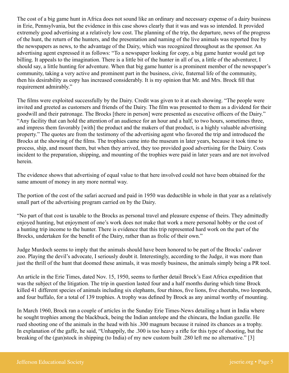The cost of a big game hunt in Africa does not sound like an ordinary and necessary expense of a dairy business in Erie, Pennsylvania, but the evidence in this case shows clearly that it was and was so intended. It provided extremely good advertising at a relatively low cost. The planning of the trip, the departure, news of the progress of the hunt, the return of the hunters, and the presentation and naming of the live animals was reported free by the newspapers as news, to the advantage of the Dairy, which was recognized throughout as the sponsor. An advertising agent expressed it as follows: "To a newspaper looking for copy, a big game hunter would get top billing. It appeals to the imagination. There is a little bit of the hunter in all of us, a little of the adventurer, I should say, a little hunting for adventure. When that big game hunter is a prominent member of the newspaper's community, taking a very active and prominent part in the business, civic, fraternal life of the community, then his desirability as copy has increased considerably. It is my opinion that Mr. and Mrs. Brock fill that requirement admirably."

The films were exploited successfully by the Dairy. Credit was given to it at each showing. "The people were invited and greeted as customers and friends of the Dairy. The film was presented to them as a dividend for their goodwill and their patronage. The Brocks [there in person] were presented as executive officers of the Dairy." "Any facility that can hold the attention of an audience for an hour and a half, to two hours, sometimes three, and impress them favorably [with] the product and the makers of that product, is a highly valuable advertising property." The quotes are from the testimony of the advertising agent who favored the trip and introduced the Brocks at the showing of the films. The trophies came into the museum in later years, because it took time to process, ship, and mount them, but when they arrived, they too provided good advertising for the Dairy. Costs incident to the preparation, shipping, and mounting of the trophies were paid in later years and are not involved herein.

The evidence shows that advertising of equal value to that here involved could not have been obtained for the same amount of money in any more normal way.

The portion of the cost of the safari accrued and paid in 1950 was deductible in whole in that year as a relatively small part of the advertising program carried on by the Dairy.

"No part of that cost is taxable to the Brocks as personal travel and pleasure expense of theirs. They admittedly enjoyed hunting, but enjoyment of one's work does not make that work a mere personal hobby or the cost of a hunting trip income to the hunter. There is evidence that this trip represented hard work on the part of the Brocks, undertaken for the benefit of the Dairy, rather than as frolic of their own."

Judge Murdoch seems to imply that the animals should have been honored to be part of the Brocks' cadaver zoo. Playing the devil's advocate, I seriously doubt it. Interestingly, according to the Judge, it was more than just the thrill of the hunt that doomed these animals, it was mostly business, the animals simply being a PR tool.

An article in the Erie Times, dated Nov. 15, 1950, seems to further detail Brock's East Africa expedition that was the subject of the litigation. The trip in question lasted four and a half months during which time Brock killed 41 different species of animals including six elephants, four rhinos, five lions, five cheetahs, two leopards, and four buffalo, for a total of 139 trophies. A trophy was defined by Brock as any animal worthy of mounting.

In March 1960, Brock ran a couple of articles in the Sunday Erie Times-News detailing a hunt in India where he sought trophies among the blackbuck, being the Indian antelope and the chincara, the Indian gazelle. He rued shooting one of the animals in the head with his .300 magnum because it ruined its chances as a trophy. In explanation of the gaffe, he said, "Unhappily, the .300 is too heavy a rifle for this type of shooting, but the breaking of the (gun)stock in shipping (to India) of my new custom built .280 left me no alternative." [3]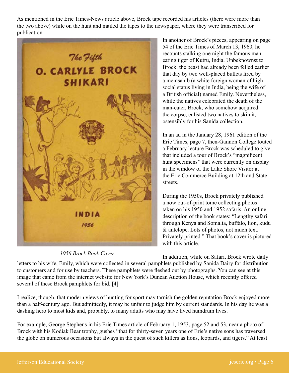As mentioned in the Erie Times-News article above, Brock tape recorded his articles (there were more than the two above) while on the hunt and mailed the tapes to the newspaper, where they were transcribed for publication.



*1956 Brock Book Cover*

In another of Brock's pieces, appearing on page 54 of the Erie Times of March 13, 1960, he recounts stalking one night the famous maneating tiger of Kutru, India. Unbeknownst to Brock, the beast had already been felled earlier that day by two well-placed bullets fired by a memsahib (a white foreign woman of high social status living in India, being the wife of a British official) named Emily. Nevertheless, while the natives celebrated the death of the man-eater, Brock, who somehow acquired the corpse, enlisted two natives to skin it, ostensibly for his Sanida collection.

In an ad in the January 28, 1961 edition of the Erie Times, page 7, then-Gannon College touted a February lecture Brock was scheduled to give that included a tour of Brock's "magnificent hunt specimens" that were currently on display in the window of the Lake Shore Visitor at the Erie Commerce Building at 12th and State streets.

During the 1950s, Brock privately published a now out-of-print tome collecting photos taken on his 1950 and 1952 safaris. An online description of the book states: "Lengthy safari through Kenya and Somalia, buffalo, lion, kudu & antelope. Lots of photos, not much text. Privately printed." That book's cover is pictured with this article.

In addition, while on Safari, Brock wrote daily

letters to his wife, Emily, which were collected in several pamphlets published by Sanida Dairy for distribution to customers and for use by teachers. These pamphlets were fleshed out by photographs. You can see at this image that came from the internet website for New York's Duncan Auction House, which recently offered several of these Brock pamphlets for bid. [4]

I realize, though, that modern views of hunting for sport may tarnish the golden reputation Brock enjoyed more than a half-century ago. But admittedly, it may be unfair to judge him by current standards. In his day he was a dashing hero to most kids and, probably, to many adults who may have lived humdrum lives.

For example, George Stephens in his Erie Times article of February 1, 1953, page 52 and 53, near a photo of Brock with his Kodiak Bear trophy, gushes "that for thirty-seven years one of Erie's native sons has traversed the globe on numerous occasions but always in the quest of such killers as lions, leopards, and tigers." At least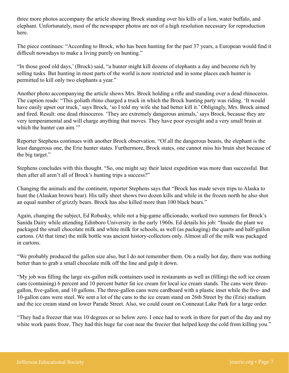three more photos accompany the article showing Brock standing over his kills of a lion, water buffalo, and elephant. Unfortunately, most of the newspaper photos are not of a high resolution necessary for reproduction here.

The piece continues: "According to Brock, who has been hunting for the past 37 years, a European would find it difficult nowadays to make a living purely on hunting."

"In those good old days,' (Brock) said, "a hunter might kill dozens of elephants a day and become rich by selling tusks. But hunting in most parts of the world is now restricted and in some places each hunter is permitted to kill only two elephants a year."

Another photo accompanying the article shows Mrs. Brock holding a rifle and standing over a dead rhinoceros. The caption reads: "This goliath rhino charged a truck in which the Brock hunting party was riding. 'It would have easily upset our truck,' says Brock, 'so I told my wife she had better kill it.' Obligingly, Mrs. Brock aimed and fired. Result: one dead rhinoceros. 'They are extremely dangerous animals,' says Brock, because they are very temperamental and will charge anything that moves. They have poor eyesight and a very small brain at which the hunter can aim."

Reporter Stephens continues with another Brock observation. "Of all the dangerous beasts, the elephant is the least dangerous one, the Erie hunter states. Furthermore, Brock states, one cannot miss his brain shot because of the big target."

Stephens concludes with this thought. "So, one might say their latest expedition was more than successful. But then after all aren't all of Brock's hunting trips a success?"

Changing the animals and the continent, reporter Stephens says that "Brock has made seven trips to Alaska to hunt the (Alaskan brown bear). His tally sheet shows two dozen kills and while in the frozen north he also shot an equal number of grizzly bears. Brock has also killed more than 100 black bears."

Again, changing the subject, Ed Robasky, while not a big-game afficionado, worked two summers for Brock's Sanida Dairy while attending Edinboro University in the early 1960s. Ed details his job: "Inside the plant we packaged the small chocolate milk and white milk for schools, as well (as packaging) the quarts and half-gallon cartons. (At that time) the milk bottle was ancient history-collectors only. Almost all of the milk was packaged in cartons.

"We probably produced the gallon size also, but I do not remember them. On a really hot day, there was nothing better than to grab a small chocolate milk off the line and gulp it down.

"My job was filling the large six-gallon milk containers used in restaurants as well as (filling) the soft ice cream cans (containing) 6 percent and 10 percent butter fat ice cream for local ice cream stands. The cans were threegallon, five-gallon, and 10 gallons. The three-gallon cans were cardboard with a plastic inset while the five- and 10-gallon cans were steel. We sent a lot of the cans to the ice cream stand on 26th Street by the (Erie) stadium and the ice cream stand on lower Parade Street. Also, we could count on Conneaut Lake Park for a large order.

"They had a freezer that was 10 degrees or so below zero. I once had to work in there for part of the day and my white work pants froze. They had this huge fur coat near the freezer that helped keep the cold from killing you."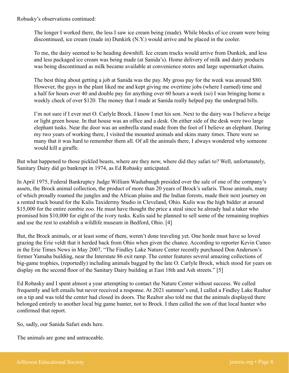Robasky's observations continued:

The longer I worked there, the less I saw ice cream being (made). While blocks of ice cream were being discontinued, ice cream (made in) Dunkirk (N.Y.) would arrive and be placed in the cooler.

To me, the dairy seemed to be heading downhill. Ice cream trucks would arrive from Dunkirk, and less and less packaged ice cream was being made (at Sanida's). Home delivery of milk and dairy products was being discontinued as milk became available at convenience stores and large supermarket chains.

The best thing about getting a job at Sanida was the pay. My gross pay for the week was around \$80. However, the guys in the plant liked me and kept giving me overtime jobs (where I earned) time and a half for hours over 40 and double pay for anything over 60 hours a week (so) I was bringing home a weekly check of over \$120. The money that I made at Sanida really helped pay the undergrad bills.

I'm not sure if I ever met O. Carlyle Brock. I know I met his son. Next to the dairy was I believe a beige or light green house. In that house was an office and a desk. On either side of the desk were two large elephant tusks. Near the door was an umbrella stand made from the foot of I believe an elephant. During my two years of working there, I visited the mounted animals and skins many times. There were so many that it was hard to remember them all. Of all the animals there, I always wondered why someone would kill a giraffe.

But what happened to those pickled beasts, where are they now, where did they safari to? Well, unfortunately, Sanitary Dairy did go bankrupt in 1974, as Ed Robasky anticipated.

In April 1975, Federal Bankruptcy Judge William Washabaugh presided over the sale of one of the company's assets, the Brock animal collection, the product of more than 20 years of Brock's safaris. Those animals, many of which proudly roamed the jungles and the African plains and the Indian forests, made their next journey on a rented truck bound for the Kulis Taxidermy Studio in Cleveland, Ohio. Kulis was the high bidder at around \$15,000 for the entire zombie zoo. He must have thought the price a steal since he already had a taker who promised him \$10,000 for eight of the ivory tusks. Kulis said he planned to sell some of the remaining trophies and use the rest to establish a wildlife museum in Bedford, Ohio. [4]

But, the Brock animals, or at least some of them, weren't done traveling yet. One horde must have so loved grazing the Erie veldt that it herded back from Ohio when given the chance. According to reporter Kevin Cuneo in the Erie Times News in May 2007, "The Findley Lake Nature Center recently purchased Don Anderson's former Yamaha building, near the Interstate 86 exit ramp. The center features several amazing collections of big-game trophies, (reportedly) including animals bagged by the late O. Carlyle Brock, which stood for years on display on the second floor of the Sanitary Dairy building at East 18th and Ash streets." [5]

Ed Robasky and I spent almost a year attempting to contact the Nature Center without success. We called frequently and left emails but never received a response. At 2021 summer's end, I called a Findley Lake Realtor on a tip and was told the center had closed its doors. The Realtor also told me that the animals displayed there belonged entirely to another local big game hunter, not to Brock. I then called the son of that local hunter who confirmed that report.

So, sadly, our Sanida Safari ends here.

The animals are gone and untraceable.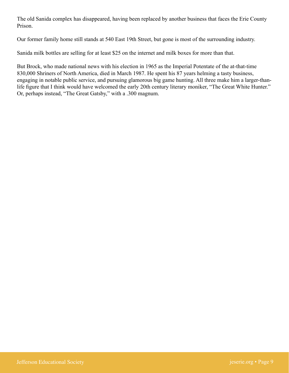The old Sanida complex has disappeared, having been replaced by another business that faces the Erie County Prison.

Our former family home still stands at 540 East 19th Street, but gone is most of the surrounding industry.

Sanida milk bottles are selling for at least \$25 on the internet and milk boxes for more than that.

But Brock, who made national news with his election in 1965 as the Imperial Potentate of the at-that-time 830,000 Shriners of North America, died in March 1987. He spent his 87 years helming a tasty business, engaging in notable public service, and pursuing glamorous big game hunting. All three make him a larger-thanlife figure that I think would have welcomed the early 20th century literary moniker, "The Great White Hunter." Or, perhaps instead, "The Great Gatsby," with a .300 magnum.